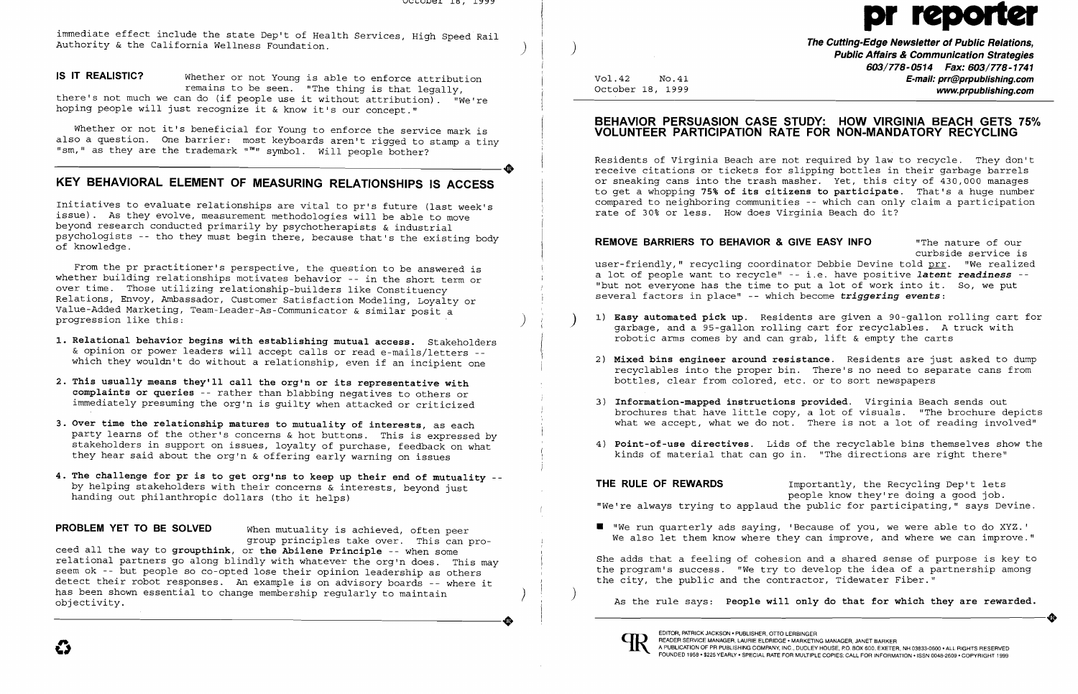immediate effect include the state Dep't of Health Services, High Speed Rail Authority & the California Wellness Foundation. **Exercise, in spect wand the constant of Public Affairs & Communication Strategies Public Affairs & Communication Strategies** 

Whether or not it's beneficial for Young to enforce the service mark is also a question. One barrier: most keyboards aren't rigged to stamp a tiny -----------------------+ "sm," as they are the trademark "™" symbol. Will people bother?

**IS IT REALISTIC?** Whether or not Young is able to enforce attribution remains to be seen. "The thing is that legally, there's not much we can do (if people use it without attribution). "We're hoping people will just recognize it & know it's our concept."

## **KEY BEHAVIORAL ELEMENT OF MEASURING RELATIONSHIPS IS ACCESS**

Initiatives to evaluate relationships are vital to pr's future (last week's issue). As they evolve, measurement methodologies will be able to move beyond research conducted primarily by psychotherapists & industrial psychologists -- tho they must begin there, because that's the existing body of knowledge.

relational partners go along blindly with whatever the org'n does. This may seem ok -- but people so co-opted lose their opinion leadership as others detect their robot responses. An example is on advisory boards -- where it has been shown essential to change membership regularly to maintain objectivity. has been shown essential to change membership regularly to maintain (a) and the city are particular and the contractor, included it is the same of the same of the same of the same of the same of the same of the same of the

From the pr practitioner's perspective, the question to be answered is whether building relationships motivates behavior -- in the short term or over time. Those utilizing relationship-builders like Constituency Relations, Envoy, Ambassador, Customer Satisfaction Modeling, Loyalty or Value-Added Marketing, Team-Leader-As-Communicator & similar posit a progression like this: )

**603/778-0514 Fax: 603/778-1741**  Vol.42 No.41 **E-mail: prr@prpublishing.com**  www.prpublishing.com

1) **Easy automated pick up**. Residents are given a 90-gallon rolling cart for <br> garbage, and a 95-gallon rolling cart for recyclables. A truck with

- **1. Relational behavior begins with establishing mutual access.** Stakeholders & opinion or power leaders will accept calls or read e-mails/letters which they wouldn't do without a relationship, even if an incipient one
- **2. This usually means they'll call the org'n or its representative with complaints or queries** -- rather than blabbing negatives to others or immediately presuming the org'n is guilty when attacked or criticized
- **3. Over time the relationship matures to mutuality of interests,** as each party learns of the other's concerns & hot buttons. This is expressed by stakeholders in support on issues, loyalty of purchase, feedback on what they hear said about the org'n & offering early warning on issues Ï
- 4. The challenge for pr is to get org'ns to keep up their end of mutuality -by helping stakeholders with their concerns  $\bar{\textbf{x}}$  interests, beyond just handing out philanthropic dollars (tho it helps)

2) Mixed bins engineer around resistance. Residents are just asked to dump recyclables into the proper bin. There's no need to separate cans from

brochures that have little copy, a lot of visuals. "The brochure depicts what we accept, what we do not. There is not a lot of reading involved"

**THE RULE OF REWARDS Importantly, the Recycling Dep't lets** "We're always trying to applaud the public for participating," says Devine .

 $\blacksquare$  "We run quarterly ads saying, 'Because of you, we were able to do XYZ.' We also let them know where they can improve, and where we can improve."

**PROBLEM YET TO BE SOLVED** When mutuality is achieved, often peer group principles take over. This can proceed all the way to **groupthink, or the Abilene Principle** -- when some

EDITOR, PATRICK JACKSON . PUBLISHER, OTTO LERBINGER<br>A PUBLICATION OF PR PUBLISHING COMPANY, INC., DUDLEY HOUSE . MARKETING MANAGER, JANET BARKER<br>FOUNDED 1958 . \$225 YEARLY . SPECIAL RATE FOR MULTIPLE COPIES: CALL FOR INFOR FOUNDED 1958 • \$225 YEARLY· SPECIAL RATE FOR MULTIPLE COPIES: CALL FOR INFORMATION. ISSN 0048-2609· COPYRIGHT 1999

# $p$

## **BEHAVIOR PERSUASION CASE STUDY: HOW VIRGINIA BEACH GETS 75% VOLUNTEER PARTICIPATION RATE FOR NON-MANDATORY RECYCLING**

Residents of Virginia Beach are not required by law to recycle. They don't receive citations or tickets for slipping bottles in their garbage barrels or sneaking cans into the trash masher. Yet, this city of 430,000 manages to get a whopping **75% of its citizens to participate.** That's a huge number compared to neighboring communities -- which can only claim a participation rate of 30% or less. How does Virginia Beach do it?

**REMOVE BARRIERS TO BEHAVIOR & GIVE EASY INFO** "The nature of our curbside service is user-friendly," recycling coordinator Debbie Devine told **prr.** "We realized a lot of people want to recycle" -- i.e. have positive *latent readiness* - "but not everyone has the time to put a lot of work into it. So, we put several factors in place" -- which become *triggering events:* 

- robotic arms comes by and can grab, lift & empty the carts
- bottles, clear from colored, etc. or to sort newspapers
- 3) **Information-mapped instructions provided.** Virginia Beach sends out
- 

4) **Point-of-use directives.** Lids of the recyclable bins themselves show the kinds of material that can go in. "The directions are right there"

people know they're doing a good job.

She adds that a feeling of cohesion and a shared sense of purpose is key to the program's success. "We try to develop the idea of a partnership among the city, the public and the contractor, Tidewater Fiber."

As the rule says: **People will only do that for which they are rewarded.**